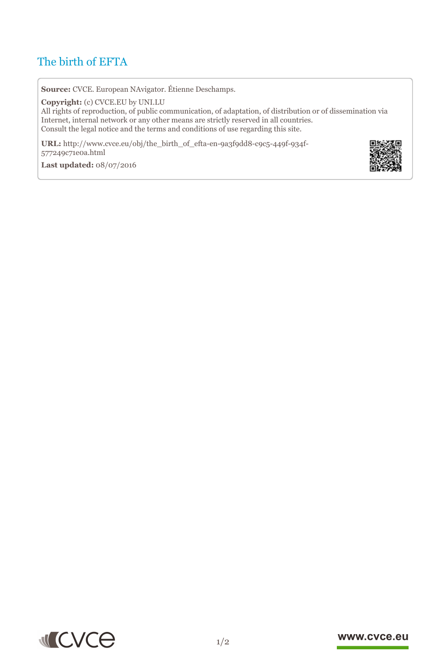# The birth of EFTA

**Source:** CVCE. European NAvigator. Étienne Deschamps.

**Copyright:** (c) CVCE.EU by UNI.LU

All rights of reproduction, of public communication, of adaptation, of distribution or of dissemination via Internet, internal network or any other means are strictly reserved in all countries. Consult the legal notice and the terms and conditions of use regarding this site.

**URL:** http://www.cvce.eu/obj/the\_birth\_of\_efta-en-9a3f9dd8-c9c5-449f-934f-577249c7[1e0a.html](http://www.cvce.eu/obj/the_birth_of_efta-en-9a3f9dd8-c9c5-449f-934f-577249c71e0a.html)

**Las[t updated:](http://www.cvce.eu/obj/the_birth_of_efta-en-9a3f9dd8-c9c5-449f-934f-577249c71e0a.html)** 08/07/2016





## www.cvce.eu